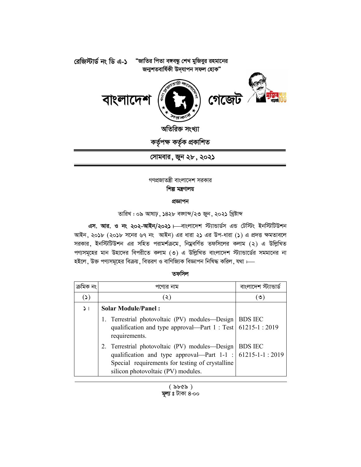

 **†mvgevi, Ryb 28, 2021**

গণপ্রজাতন্ত্রী বাংলাদেশ সরকার **শিল্প মন্ত্ৰণালয়** 

## প্ৰজ্ঞাপন

তারিখ : ০৯ আষাঢ়, ১৪২৮ বজাজ/২৩ জুন, ২০২১ খ্রিষ্টাব্দ

**এস. আর. ও নং ২০২-আইন/২০২১** ৷—বাংলাদেশ স্ট্যান্ডার্ডস এন্ড টেস্টিং ইনস্টিটিউশন আইন, ২০১৮ (২০১৮ সনের ৬৭ নং আইন) এর ধারা ২১ এর উপ-ধারা (১) এ প্রদত্ত ক্ষমতাবলে সরকার, ইনস্টিটিউশন এর সহিত পরামর্শক্রমে, নিম্নবর্ণিত তফসিলের কলাম (২) এ উল্লিখিত পণ্যসমূহের মান উহাদের বিপরীতে কলাম (৩) এ উল্লিখিত বাংলাদেশ স্ট্যান্ডার্ডের সমমানের না হইলে, উক্ত পণ্যসমূহের বিক্রয়, বিতরণ ও বাণিজ্যিক বিজ্ঞাপন নিষিদ্ধ করিল, যথা :—

## **তফসিল**

|          | পণ্যের নাম                                                                                                                                                                                                | বাংলাদেশ স     |
|----------|-----------------------------------------------------------------------------------------------------------------------------------------------------------------------------------------------------------|----------------|
| (3)      | (২)                                                                                                                                                                                                       | (৩)            |
| $\geq$ 1 | <b>Solar Module/Panel:</b>                                                                                                                                                                                |                |
|          | 1. Terrestrial photovoltaic (PV) modules-Design   BDS IEC<br>qualification and type approval—Part 1 : Test   61215-1 : 2019<br>requirements.                                                              |                |
|          | 2. Terrestrial photovoltaic (PV) modules-Design<br>qualification and type approval—Part $1-1$ : 61215-1-1 : 2019<br>Special requirements for testing of crystalline<br>silicon photovoltaic (PV) modules. | <b>BDS IEC</b> |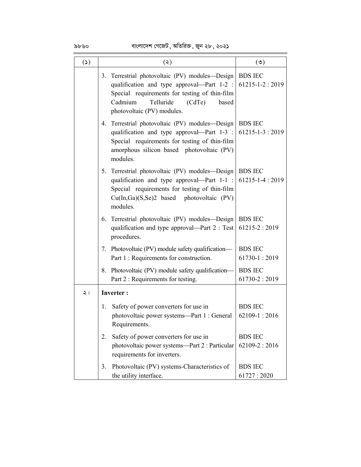$\frac{\delta b \cdot \delta o}{\delta \log b}$  বাংলাদেশ গেজেট , অতিরিক্ত , জুন ২৮ , ২০২১

| $(\mathcal{C})$ | (5)                                                                                                                                                                                                                       | $(\mathcal{O})$                        |
|-----------------|---------------------------------------------------------------------------------------------------------------------------------------------------------------------------------------------------------------------------|----------------------------------------|
|                 | 3. Terrestrial photovoltaic (PV) modules-Design<br>qualification and type approval—Part $1-2$ :<br>Special requirements for testing of thin-film<br>Telluride<br>Cadmium<br>(CdTe)<br>based<br>photovoltaic (PV) modules. | <b>BDS IEC</b><br>$61215 - 1 - 2:2019$ |
|                 | 4. Terrestrial photovoltaic (PV) modules-Design<br>qualification and type approval—Part 1-3 :<br>Special requirements for testing of thin-film<br>amorphous silicon based photovoltaic (PV)<br>modules.                   | <b>BDS IEC</b><br>$61215 - 1 - 3:2019$ |
|                 | 5. Terrestrial photovoltaic (PV) modules—Design<br>qualification and type approval—Part 1-1 :<br>Special requirements for testing of thin-film<br>Cu(In,Ga)(S,Se)2 based photovoltaic (PV)<br>modules.                    | <b>BDS IEC</b><br>61215-1-4:2019       |
|                 | 6. Terrestrial photovoltaic (PV) modules—Design   BDS IEC<br>qualification and type approval—Part $2: Test$<br>procedures.                                                                                                | $61215 - 2:2019$                       |
|                 | 7. Photovoltaic (PV) module safety qualification-<br>Part 1 : Requirements for construction.                                                                                                                              | <b>BDS IEC</b><br>$61730 - 1:2019$     |
|                 | 8. Photovoltaic (PV) module safety qualification-<br>Part 2 : Requirements for testing.                                                                                                                                   | <b>BDS IEC</b><br>$61730 - 2:2019$     |
| $\leq$ 1        | <b>Inverter:</b>                                                                                                                                                                                                          |                                        |
|                 | Safety of power converters for use in<br>1.<br>photovoltaic power systems-Part 1 : General<br>Requirements.                                                                                                               | <b>BDS IEC</b><br>62109-1:2016         |
|                 | Safety of power converters for use in<br>2.<br>photovoltaic power systems-Part 2 : Particular<br>requirements for inverters.                                                                                              | <b>BDS IEC</b><br>$62109 - 2:2016$     |
|                 | Photovoltaic (PV) systems-Characteristics of<br>3.<br>the utility interface.                                                                                                                                              | <b>BDS IEC</b><br>61727:2020           |